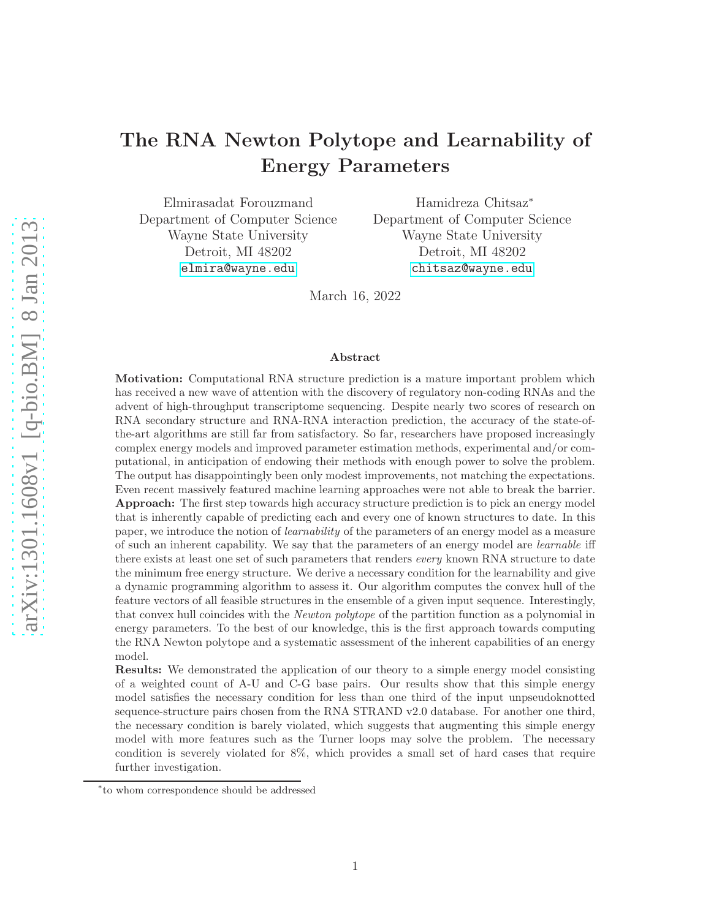# The RNA Newton Polytope and Learnability of Energy Parameters

Elmirasadat Forouzmand Department of Computer Science Wayne State University Detroit, MI 48202 <elmira@wayne.edu>

Hamidreza Chitsaz<sup>∗</sup> Department of Computer Science Wayne State University Detroit, MI 48202 <chitsaz@wayne.edu>

March 16, 2022

#### Abstract

Motivation: Computational RNA structure prediction is a mature important problem which has received a new wave of attention with the discovery of regulatory non-coding RNAs and the advent of high-throughput transcriptome sequencing. Despite nearly two scores of research on RNA secondary structure and RNA-RNA interaction prediction, the accuracy of the state-ofthe-art algorithms are still far from satisfactory. So far, researchers have proposed increasingly complex energy models and improved parameter estimation methods, experimental and/or computational, in anticipation of endowing their methods with enough power to solve the problem. The output has disappointingly been only modest improvements, not matching the expectations. Even recent massively featured machine learning approaches were not able to break the barrier. Approach: The first step towards high accuracy structure prediction is to pick an energy model that is inherently capable of predicting each and every one of known structures to date. In this paper, we introduce the notion of learnability of the parameters of an energy model as a measure of such an inherent capability. We say that the parameters of an energy model are learnable iff there exists at least one set of such parameters that renders *every* known RNA structure to date the minimum free energy structure. We derive a necessary condition for the learnability and give a dynamic programming algorithm to assess it. Our algorithm computes the convex hull of the feature vectors of all feasible structures in the ensemble of a given input sequence. Interestingly, that convex hull coincides with the Newton polytope of the partition function as a polynomial in energy parameters. To the best of our knowledge, this is the first approach towards computing the RNA Newton polytope and a systematic assessment of the inherent capabilities of an energy model.

Results: We demonstrated the application of our theory to a simple energy model consisting of a weighted count of A-U and C-G base pairs. Our results show that this simple energy model satisfies the necessary condition for less than one third of the input unpseudoknotted sequence-structure pairs chosen from the RNA STRAND v2.0 database. For another one third, the necessary condition is barely violated, which suggests that augmenting this simple energy model with more features such as the Turner loops may solve the problem. The necessary condition is severely violated for 8%, which provides a small set of hard cases that require further investigation.

<sup>∗</sup> to whom correspondence should be addressed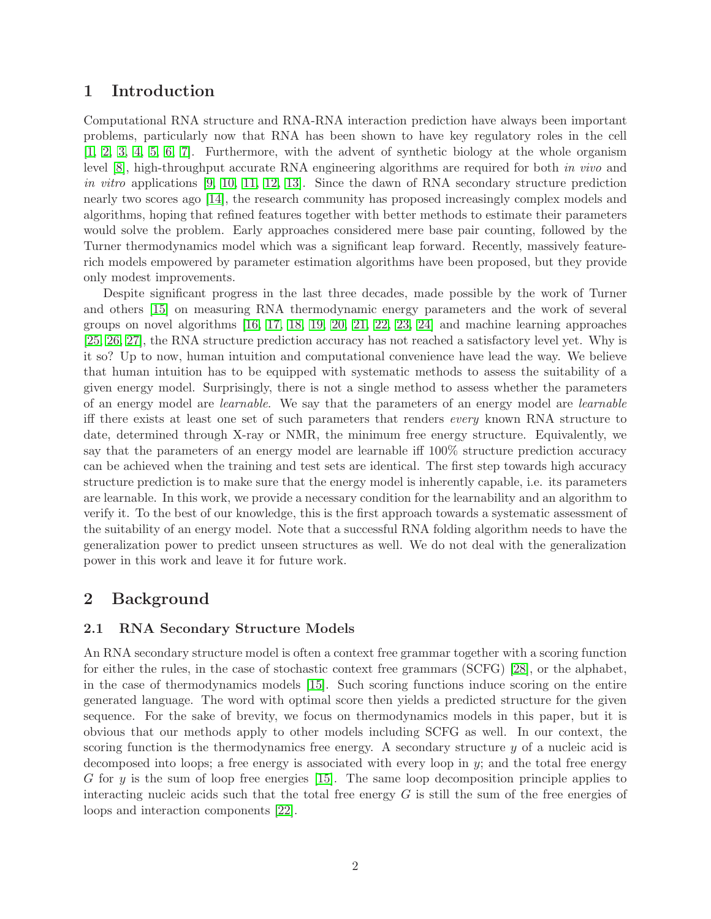# 1 Introduction

Computational RNA structure and RNA-RNA interaction prediction have always been important problems, particularly now that RNA has been shown to have key regulatory roles in the cell [\[1,](#page-10-0) [2,](#page-11-0) [3,](#page-11-1) [4,](#page-11-2) [5,](#page-11-3) [6,](#page-11-4) [7\]](#page-11-5). Furthermore, with the advent of synthetic biology at the whole organism level [\[8\]](#page-11-6), high-throughput accurate RNA engineering algorithms are required for both in vivo and in vitro applications [\[9,](#page-11-7) [10,](#page-11-8) [11,](#page-11-9) [12,](#page-11-10) [13\]](#page-11-11). Since the dawn of RNA secondary structure prediction nearly two scores ago [\[14\]](#page-11-12), the research community has proposed increasingly complex models and algorithms, hoping that refined features together with better methods to estimate their parameters would solve the problem. Early approaches considered mere base pair counting, followed by the Turner thermodynamics model which was a significant leap forward. Recently, massively featurerich models empowered by parameter estimation algorithms have been proposed, but they provide only modest improvements.

Despite significant progress in the last three decades, made possible by the work of Turner and others [\[15\]](#page-11-13) on measuring RNA thermodynamic energy parameters and the work of several groups on novel algorithms [\[16,](#page-11-14) [17,](#page-11-15) [18,](#page-11-16) [19,](#page-12-0) [20,](#page-12-1) [21,](#page-12-2) [22,](#page-12-3) [23,](#page-12-4) [24\]](#page-12-5) and machine learning approaches [\[25,](#page-12-6) [26,](#page-12-7) [27\]](#page-12-8), the RNA structure prediction accuracy has not reached a satisfactory level yet. Why is it so? Up to now, human intuition and computational convenience have lead the way. We believe that human intuition has to be equipped with systematic methods to assess the suitability of a given energy model. Surprisingly, there is not a single method to assess whether the parameters of an energy model are learnable. We say that the parameters of an energy model are learnable iff there exists at least one set of such parameters that renders every known RNA structure to date, determined through X-ray or NMR, the minimum free energy structure. Equivalently, we say that the parameters of an energy model are learnable iff 100% structure prediction accuracy can be achieved when the training and test sets are identical. The first step towards high accuracy structure prediction is to make sure that the energy model is inherently capable, i.e. its parameters are learnable. In this work, we provide a necessary condition for the learnability and an algorithm to verify it. To the best of our knowledge, this is the first approach towards a systematic assessment of the suitability of an energy model. Note that a successful RNA folding algorithm needs to have the generalization power to predict unseen structures as well. We do not deal with the generalization power in this work and leave it for future work.

# 2 Background

## 2.1 RNA Secondary Structure Models

An RNA secondary structure model is often a context free grammar together with a scoring function for either the rules, in the case of stochastic context free grammars (SCFG) [\[28\]](#page-12-9), or the alphabet, in the case of thermodynamics models [\[15\]](#page-11-13). Such scoring functions induce scoring on the entire generated language. The word with optimal score then yields a predicted structure for the given sequence. For the sake of brevity, we focus on thermodynamics models in this paper, but it is obvious that our methods apply to other models including SCFG as well. In our context, the scoring function is the thermodynamics free energy. A secondary structure y of a nucleic acid is decomposed into loops; a free energy is associated with every loop in y; and the total free energy G for  $y$  is the sum of loop free energies [\[15\]](#page-11-13). The same loop decomposition principle applies to interacting nucleic acids such that the total free energy  $G$  is still the sum of the free energies of loops and interaction components [\[22\]](#page-12-3).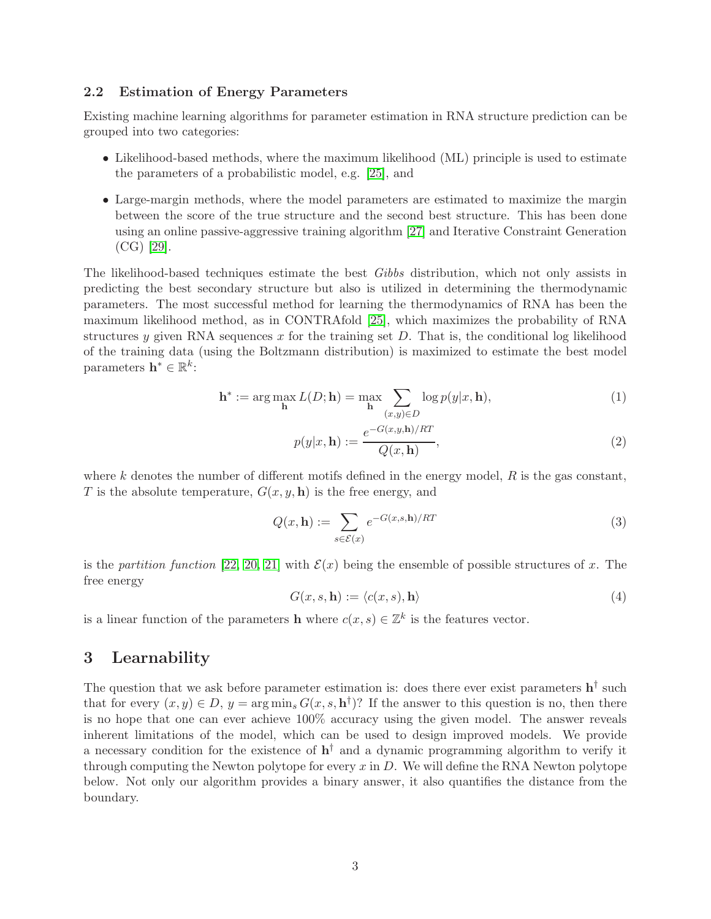#### 2.2 Estimation of Energy Parameters

Existing machine learning algorithms for parameter estimation in RNA structure prediction can be grouped into two categories:

- Likelihood-based methods, where the maximum likelihood (ML) principle is used to estimate the parameters of a probabilistic model, e.g. [\[25\]](#page-12-6), and
- Large-margin methods, where the model parameters are estimated to maximize the margin between the score of the true structure and the second best structure. This has been done using an online passive-aggressive training algorithm [\[27\]](#page-12-8) and Iterative Constraint Generation (CG) [\[29\]](#page-12-10).

The likelihood-based techniques estimate the best Gibbs distribution, which not only assists in predicting the best secondary structure but also is utilized in determining the thermodynamic parameters. The most successful method for learning the thermodynamics of RNA has been the maximum likelihood method, as in CONTRAfold [\[25\]](#page-12-6), which maximizes the probability of RNA structures y given RNA sequences x for the training set  $D$ . That is, the conditional log likelihood of the training data (using the Boltzmann distribution) is maximized to estimate the best model parameters  $\mathbf{h}^* \in \mathbb{R}^k$ :

$$
\mathbf{h}^* := \arg \max_{\mathbf{h}} L(D; \mathbf{h}) = \max_{\mathbf{h}} \sum_{(x, y) \in D} \log p(y|x, \mathbf{h}),\tag{1}
$$

$$
p(y|x, \mathbf{h}) := \frac{e^{-G(x, y, \mathbf{h})/RT}}{Q(x, \mathbf{h})},
$$
\n(2)

where k denotes the number of different motifs defined in the energy model,  $R$  is the gas constant, T is the absolute temperature,  $G(x, y, h)$  is the free energy, and

<span id="page-2-1"></span>
$$
Q(x, \mathbf{h}) := \sum_{s \in \mathcal{E}(x)} e^{-G(x, s, \mathbf{h})/RT}
$$
\n(3)

is the partition function [\[22,](#page-12-3) [20,](#page-12-1) [21\]](#page-12-2) with  $\mathcal{E}(x)$  being the ensemble of possible structures of x. The free energy

<span id="page-2-0"></span>
$$
G(x, s, \mathbf{h}) := \langle c(x, s), \mathbf{h} \rangle \tag{4}
$$

is a linear function of the parameters **h** where  $c(x, s) \in \mathbb{Z}^k$  is the features vector.

### 3 Learnability

The question that we ask before parameter estimation is: does there ever exist parameters  $h^{\dagger}$  such that for every  $(x, y) \in D$ ,  $y = \arg \min_s G(x, s, \mathbf{h}^{\dagger})$ ? If the answer to this question is no, then there is no hope that one can ever achieve 100% accuracy using the given model. The answer reveals inherent limitations of the model, which can be used to design improved models. We provide a necessary condition for the existence of  $h^{\dagger}$  and a dynamic programming algorithm to verify it through computing the Newton polytope for every  $x$  in  $D$ . We will define the RNA Newton polytope below. Not only our algorithm provides a binary answer, it also quantifies the distance from the boundary.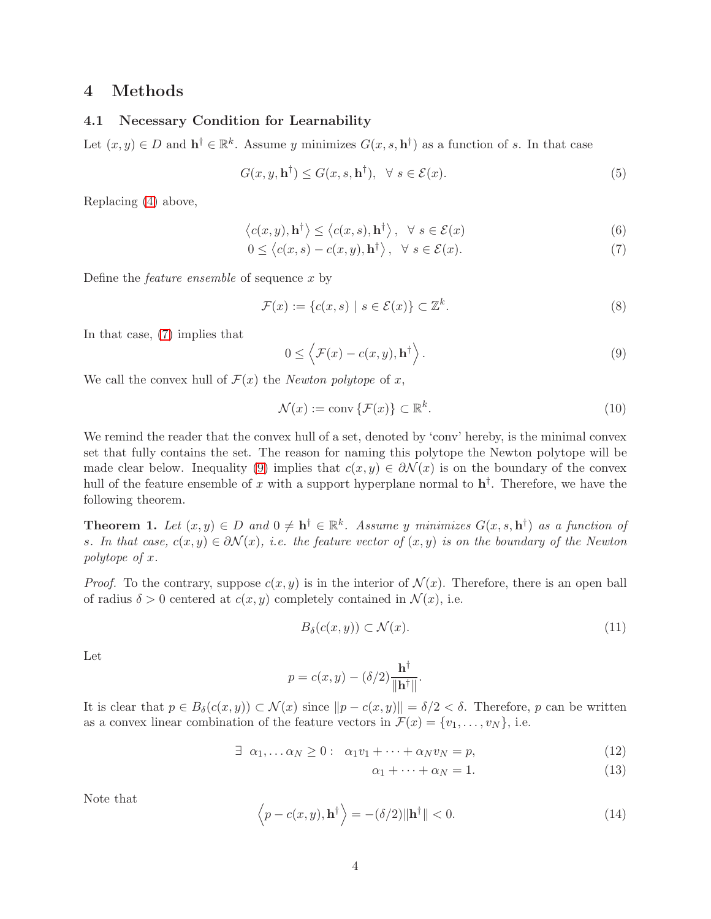# 4 Methods

#### 4.1 Necessary Condition for Learnability

Let  $(x, y) \in D$  and  $\mathbf{h}^{\dagger} \in \mathbb{R}^k$ . Assume y minimizes  $G(x, s, \mathbf{h}^{\dagger})$  as a function of s. In that case

$$
G(x, y, \mathbf{h}^{\dagger}) \le G(x, s, \mathbf{h}^{\dagger}), \quad \forall \ s \in \mathcal{E}(x). \tag{5}
$$

Replacing [\(4\)](#page-2-0) above,

<span id="page-3-0"></span>
$$
\langle c(x, y), \mathbf{h}^{\dagger} \rangle \le \langle c(x, s), \mathbf{h}^{\dagger} \rangle, \quad \forall \ s \in \mathcal{E}(x) \tag{6}
$$

$$
0 \le \langle c(x, s) - c(x, y), \mathbf{h}^{\dagger} \rangle, \ \ \forall \ s \in \mathcal{E}(x). \tag{7}
$$

Define the feature ensemble of sequence x by

$$
\mathcal{F}(x) := \{c(x, s) \mid s \in \mathcal{E}(x)\} \subset \mathbb{Z}^k. \tag{8}
$$

In that case, [\(7\)](#page-3-0) implies that

<span id="page-3-1"></span>
$$
0 \le \left\langle \mathcal{F}(x) - c(x, y), \mathbf{h}^\dagger \right\rangle. \tag{9}
$$

We call the convex hull of  $\mathcal{F}(x)$  the *Newton polytope* of x,

$$
\mathcal{N}(x) := \text{conv}\left\{\mathcal{F}(x)\right\} \subset \mathbb{R}^k. \tag{10}
$$

We remind the reader that the convex hull of a set, denoted by 'conv' hereby, is the minimal convex set that fully contains the set. The reason for naming this polytope the Newton polytope will be made clear below. Inequality [\(9\)](#page-3-1) implies that  $c(x, y) \in \partial \mathcal{N}(x)$  is on the boundary of the convex hull of the feature ensemble of x with a support hyperplane normal to  $h^{\dagger}$ . Therefore, we have the following theorem.

**Theorem 1.** Let  $(x, y) \in D$  and  $0 \neq h^{\dagger} \in \mathbb{R}^k$ . Assume y minimizes  $G(x, s, h^{\dagger})$  as a function of s. In that case,  $c(x, y) \in \partial \mathcal{N}(x)$ , i.e. the feature vector of  $(x, y)$  is on the boundary of the Newton polytope of x.

*Proof.* To the contrary, suppose  $c(x, y)$  is in the interior of  $\mathcal{N}(x)$ . Therefore, there is an open ball of radius  $\delta > 0$  centered at  $c(x, y)$  completely contained in  $\mathcal{N}(x)$ , i.e.

$$
B_{\delta}(c(x, y)) \subset \mathcal{N}(x). \tag{11}
$$

Let

$$
p = c(x, y) - (\delta/2) \frac{\mathbf{h}^{\dagger}}{\|\mathbf{h}^{\dagger}\|}.
$$

It is clear that  $p \in B_\delta(c(x, y)) \subset \mathcal{N}(x)$  since  $\|p - c(x, y)\| = \delta/2 < \delta$ . Therefore, p can be written as a convex linear combination of the feature vectors in  $\mathcal{F}(x) = \{v_1, \ldots, v_N\}$ , i.e.

$$
\exists \ \alpha_1, \dots \alpha_N \ge 0 : \ \alpha_1 v_1 + \dots + \alpha_N v_N = p,\tag{12}
$$

$$
\alpha_1 + \dots + \alpha_N = 1. \tag{13}
$$

Note that

<span id="page-3-2"></span>
$$
\langle p - c(x, y), \mathbf{h}^{\dagger} \rangle = -(\delta/2) \|\mathbf{h}^{\dagger}\| < 0.
$$
 (14)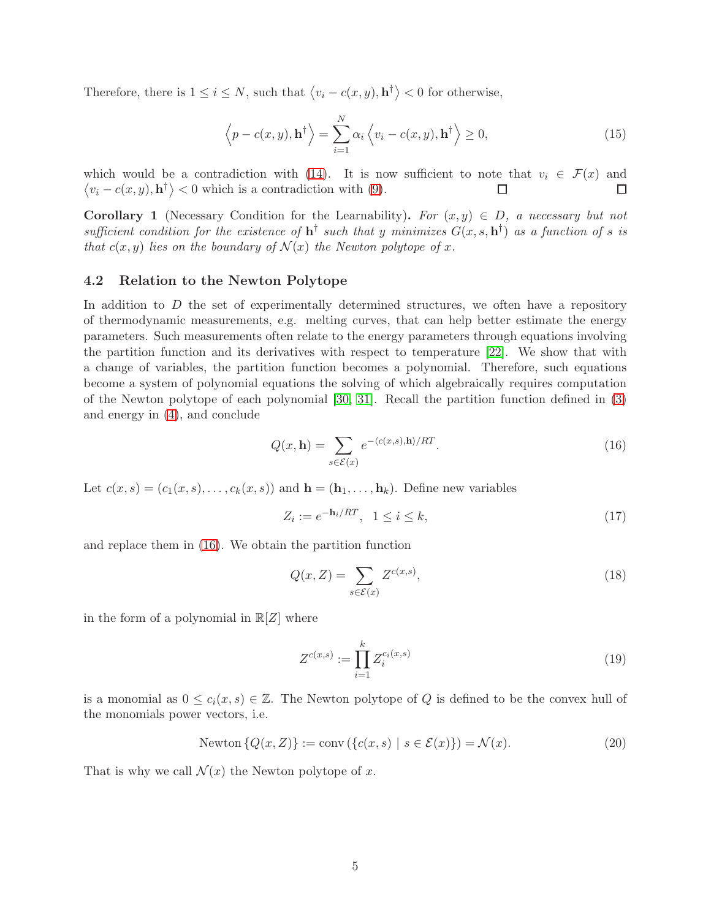Therefore, there is  $1 \leq i \leq N$ , such that  $\langle v_i - c(x, y), \mathbf{h}^\dagger \rangle < 0$  for otherwise,

$$
\left\langle p - c(x, y), \mathbf{h}^{\dagger} \right\rangle = \sum_{i=1}^{N} \alpha_i \left\langle v_i - c(x, y), \mathbf{h}^{\dagger} \right\rangle \ge 0, \tag{15}
$$

which would be a contradiction with [\(14\)](#page-3-2). It is now sufficient to note that  $v_i \in \mathcal{F}(x)$  and  $\langle v_i - c(x, y), \mathbf{h}^{\dagger} \rangle < 0$  which is a contradiction with [\(9\)](#page-3-1).  $\Box$  $\Box$ 

**Corollary 1** (Necessary Condition for the Learnability). For  $(x, y) \in D$ , a necessary but not sufficient condition for the existence of  $h^{\dagger}$  such that y minimizes  $G(x, s, h^{\dagger})$  as a function of s is that  $c(x, y)$  lies on the boundary of  $\mathcal{N}(x)$  the Newton polytope of x.

#### 4.2 Relation to the Newton Polytope

In addition to  $D$  the set of experimentally determined structures, we often have a repository of thermodynamic measurements, e.g. melting curves, that can help better estimate the energy parameters. Such measurements often relate to the energy parameters through equations involving the partition function and its derivatives with respect to temperature [\[22\]](#page-12-3). We show that with a change of variables, the partition function becomes a polynomial. Therefore, such equations become a system of polynomial equations the solving of which algebraically requires computation of the Newton polytope of each polynomial [\[30,](#page-12-11) [31\]](#page-12-12). Recall the partition function defined in [\(3\)](#page-2-1) and energy in [\(4\)](#page-2-0), and conclude

<span id="page-4-0"></span>
$$
Q(x, \mathbf{h}) = \sum_{s \in \mathcal{E}(x)} e^{-\langle c(x, s), \mathbf{h} \rangle / RT}.
$$
\n(16)

Let  $c(x, s) = (c_1(x, s), \ldots, c_k(x, s))$  and  $\mathbf{h} = (\mathbf{h}_1, \ldots, \mathbf{h}_k)$ . Define new variables

$$
Z_i := e^{-\mathbf{h}_i/RT}, \quad 1 \le i \le k,\tag{17}
$$

and replace them in [\(16\)](#page-4-0). We obtain the partition function

$$
Q(x, Z) = \sum_{s \in \mathcal{E}(x)} Z^{c(x, s)},\tag{18}
$$

in the form of a polynomial in  $\mathbb{R}[Z]$  where

$$
Z^{c(x,s)} := \prod_{i=1}^{k} Z_i^{c_i(x,s)}
$$
(19)

is a monomial as  $0 \leq c_i(x, s) \in \mathbb{Z}$ . The Newton polytope of Q is defined to be the convex hull of the monomials power vectors, i.e.

$$
Newton\{Q(x,Z)\} := conv\left(\{c(x,s) \mid s \in \mathcal{E}(x)\}\right) = \mathcal{N}(x). \tag{20}
$$

That is why we call  $\mathcal{N}(x)$  the Newton polytope of x.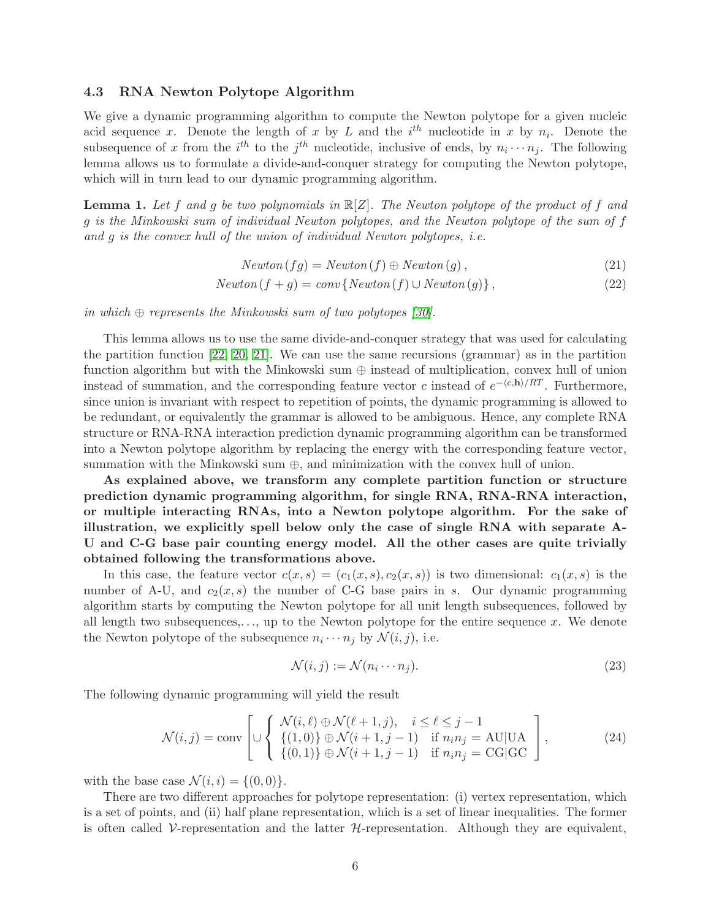#### 4.3 RNA Newton Polytope Algorithm

We give a dynamic programming algorithm to compute the Newton polytope for a given nucleic acid sequence x. Denote the length of x by L and the  $i<sup>th</sup>$  nucleotide in x by  $n<sub>i</sub>$ . Denote the subsequence of x from the  $i^{th}$  to the  $j^{th}$  nucleotide, inclusive of ends, by  $n_i \cdots n_j$ . The following lemma allows us to formulate a divide-and-conquer strategy for computing the Newton polytope, which will in turn lead to our dynamic programming algorithm.

**Lemma 1.** Let f and g be two polynomials in  $\mathbb{R}[Z]$ . The Newton polytope of the product of f and g is the Minkowski sum of individual Newton polytopes, and the Newton polytope of the sum of f and g is the convex hull of the union of individual Newton polytopes, i.e.

$$
Newton(fg) = Newton(f) \oplus Newton(g), \qquad (21)
$$

$$
Newton(f + g) = conv\{Newton(f) \cup Newton(g)\},\tag{22}
$$

in which  $\oplus$  represents the Minkowski sum of two polytopes [\[30\]](#page-12-11).

This lemma allows us to use the same divide-and-conquer strategy that was used for calculating the partition function [\[22,](#page-12-3) [20,](#page-12-1) [21\]](#page-12-2). We can use the same recursions (grammar) as in the partition function algorithm but with the Minkowski sum  $\oplus$  instead of multiplication, convex hull of union instead of summation, and the corresponding feature vector c instead of  $e^{-\langle c, \mathbf{h} \rangle/RT}$ . Furthermore, since union is invariant with respect to repetition of points, the dynamic programming is allowed to be redundant, or equivalently the grammar is allowed to be ambiguous. Hence, any complete RNA structure or RNA-RNA interaction prediction dynamic programming algorithm can be transformed into a Newton polytope algorithm by replacing the energy with the corresponding feature vector, summation with the Minkowski sum  $\oplus$ , and minimization with the convex hull of union.

As explained above, we transform any complete partition function or structure prediction dynamic programming algorithm, for single RNA, RNA-RNA interaction, or multiple interacting RNAs, into a Newton polytope algorithm. For the sake of illustration, we explicitly spell below only the case of single RNA with separate A-U and C-G base pair counting energy model. All the other cases are quite trivially obtained following the transformations above.

In this case, the feature vector  $c(x, s) = (c_1(x, s), c_2(x, s))$  is two dimensional:  $c_1(x, s)$  is the number of A-U, and  $c_2(x, s)$  the number of C-G base pairs in s. Our dynamic programming algorithm starts by computing the Newton polytope for all unit length subsequences, followed by all length two subsequences,..., up to the Newton polytope for the entire sequence  $x$ . We denote the Newton polytope of the subsequence  $n_i \cdots n_j$  by  $\mathcal{N}(i, j)$ , i.e.

$$
\mathcal{N}(i,j) := \mathcal{N}(n_i \cdots n_j). \tag{23}
$$

The following dynamic programming will yield the result

<span id="page-5-0"></span>
$$
\mathcal{N}(i,j) = \text{conv}\left[\cup \left\{\begin{array}{ll}\mathcal{N}(i,\ell) \oplus \mathcal{N}(\ell+1,j), & i \leq \ell \leq j-1\\ \{(1,0)\} \oplus \mathcal{N}(i+1,j-1) & \text{if } n_i n_j = \text{AU}|\text{UA} \\ \{(0,1)\} \oplus \mathcal{N}(i+1,j-1) & \text{if } n_i n_j = \text{CG}|\text{GC}\end{array}\right],\tag{24}
$$

with the base case  $\mathcal{N}(i, i) = \{(0, 0)\}.$ 

There are two different approaches for polytope representation: (i) vertex representation, which is a set of points, and (ii) half plane representation, which is a set of linear inequalities. The former is often called  $\mathcal V$ -representation and the latter  $\mathcal H$ -representation. Although they are equivalent,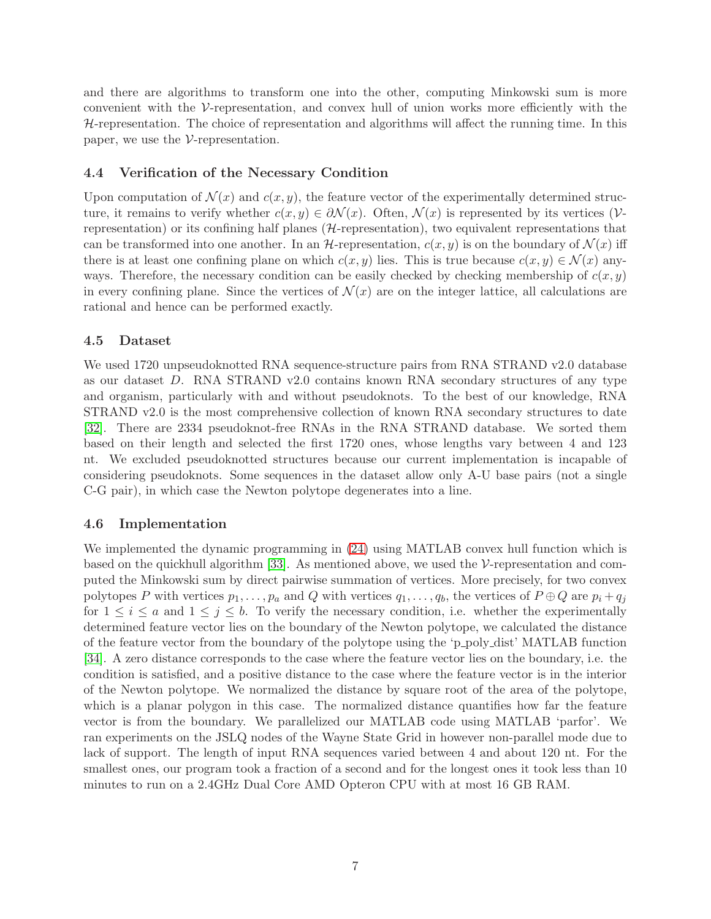and there are algorithms to transform one into the other, computing Minkowski sum is more convenient with the V-representation, and convex hull of union works more efficiently with the  $H$ -representation. The choice of representation and algorithms will affect the running time. In this paper, we use the  $\mathcal V$ -representation.

#### 4.4 Verification of the Necessary Condition

Upon computation of  $\mathcal{N}(x)$  and  $c(x, y)$ , the feature vector of the experimentally determined structure, it remains to verify whether  $c(x, y) \in \partial \mathcal{N}(x)$ . Often,  $\mathcal{N}(x)$  is represented by its vertices (Vrepresentation) or its confining half planes  $(H$ -representation), two equivalent representations that can be transformed into one another. In an  $\mathcal{H}\text{-representation}, c(x, y)$  is on the boundary of  $\mathcal{N}(x)$  iff there is at least one confining plane on which  $c(x, y)$  lies. This is true because  $c(x, y) \in \mathcal{N}(x)$  anyways. Therefore, the necessary condition can be easily checked by checking membership of  $c(x, y)$ in every confining plane. Since the vertices of  $\mathcal{N}(x)$  are on the integer lattice, all calculations are rational and hence can be performed exactly.

#### 4.5 Dataset

We used 1720 unpseudoknotted RNA sequence-structure pairs from RNA STRAND v2.0 database as our dataset D. RNA STRAND v2.0 contains known RNA secondary structures of any type and organism, particularly with and without pseudoknots. To the best of our knowledge, RNA STRAND v2.0 is the most comprehensive collection of known RNA secondary structures to date [\[32\]](#page-12-13). There are 2334 pseudoknot-free RNAs in the RNA STRAND database. We sorted them based on their length and selected the first 1720 ones, whose lengths vary between 4 and 123 nt. We excluded pseudoknotted structures because our current implementation is incapable of considering pseudoknots. Some sequences in the dataset allow only A-U base pairs (not a single C-G pair), in which case the Newton polytope degenerates into a line.

#### 4.6 Implementation

We implemented the dynamic programming in [\(24\)](#page-5-0) using MATLAB convex hull function which is based on the quickhull algorithm [\[33\]](#page-12-14). As mentioned above, we used the  $\mathcal V$ -representation and computed the Minkowski sum by direct pairwise summation of vertices. More precisely, for two convex polytopes P with vertices  $p_1, \ldots, p_a$  and Q with vertices  $q_1, \ldots, q_b$ , the vertices of  $P \oplus Q$  are  $p_i + q_j$ for  $1 \leq i \leq a$  and  $1 \leq j \leq b$ . To verify the necessary condition, i.e. whether the experimentally determined feature vector lies on the boundary of the Newton polytope, we calculated the distance of the feature vector from the boundary of the polytope using the 'p poly dist' MATLAB function [\[34\]](#page-12-15). A zero distance corresponds to the case where the feature vector lies on the boundary, i.e. the condition is satisfied, and a positive distance to the case where the feature vector is in the interior of the Newton polytope. We normalized the distance by square root of the area of the polytope, which is a planar polygon in this case. The normalized distance quantifies how far the feature vector is from the boundary. We parallelized our MATLAB code using MATLAB 'parfor'. We ran experiments on the JSLQ nodes of the Wayne State Grid in however non-parallel mode due to lack of support. The length of input RNA sequences varied between 4 and about 120 nt. For the smallest ones, our program took a fraction of a second and for the longest ones it took less than 10 minutes to run on a 2.4GHz Dual Core AMD Opteron CPU with at most 16 GB RAM.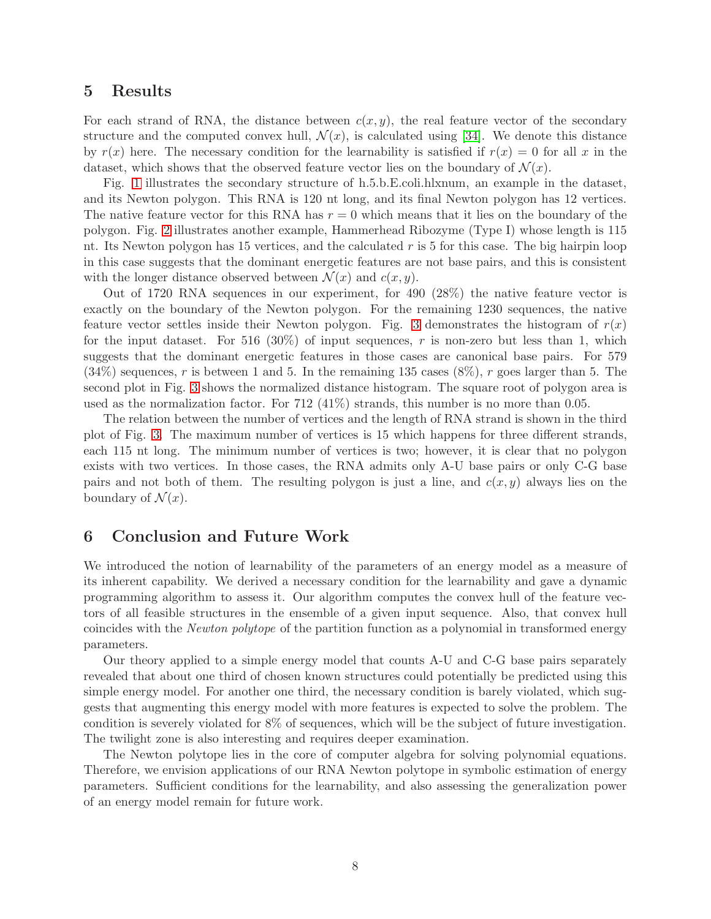## 5 Results

For each strand of RNA, the distance between  $c(x, y)$ , the real feature vector of the secondary structure and the computed convex hull,  $\mathcal{N}(x)$ , is calculated using [\[34\]](#page-12-15). We denote this distance by  $r(x)$  here. The necessary condition for the learnability is satisfied if  $r(x) = 0$  for all x in the dataset, which shows that the observed feature vector lies on the boundary of  $\mathcal{N}(x)$ .

Fig. [1](#page-8-0) illustrates the secondary structure of h.5.b.E.coli.hlxnum, an example in the dataset, and its Newton polygon. This RNA is 120 nt long, and its final Newton polygon has 12 vertices. The native feature vector for this RNA has  $r = 0$  which means that it lies on the boundary of the polygon. Fig. [2](#page-9-0) illustrates another example, Hammerhead Ribozyme (Type I) whose length is 115 nt. Its Newton polygon has 15 vertices, and the calculated  $r$  is 5 for this case. The big hairpin loop in this case suggests that the dominant energetic features are not base pairs, and this is consistent with the longer distance observed between  $\mathcal{N}(x)$  and  $c(x, y)$ .

Out of 1720 RNA sequences in our experiment, for 490 (28%) the native feature vector is exactly on the boundary of the Newton polygon. For the remaining 1230 sequences, the native feature vector settles inside their Newton polygon. Fig. [3](#page-10-1) demonstrates the histogram of  $r(x)$ for the input dataset. For 516 (30%) of input sequences, r is non-zero but less than 1, which suggests that the dominant energetic features in those cases are canonical base pairs. For 579  $(34\%)$  sequences, r is between 1 and 5. In the remaining 135 cases  $(8\%)$ , r goes larger than 5. The second plot in Fig. [3](#page-10-1) shows the normalized distance histogram. The square root of polygon area is used as the normalization factor. For 712 (41%) strands, this number is no more than 0.05.

The relation between the number of vertices and the length of RNA strand is shown in the third plot of Fig. [3.](#page-10-1) The maximum number of vertices is 15 which happens for three different strands, each 115 nt long. The minimum number of vertices is two; however, it is clear that no polygon exists with two vertices. In those cases, the RNA admits only A-U base pairs or only C-G base pairs and not both of them. The resulting polygon is just a line, and  $c(x, y)$  always lies on the boundary of  $\mathcal{N}(x)$ .

## 6 Conclusion and Future Work

We introduced the notion of learnability of the parameters of an energy model as a measure of its inherent capability. We derived a necessary condition for the learnability and gave a dynamic programming algorithm to assess it. Our algorithm computes the convex hull of the feature vectors of all feasible structures in the ensemble of a given input sequence. Also, that convex hull coincides with the Newton polytope of the partition function as a polynomial in transformed energy parameters.

Our theory applied to a simple energy model that counts A-U and C-G base pairs separately revealed that about one third of chosen known structures could potentially be predicted using this simple energy model. For another one third, the necessary condition is barely violated, which suggests that augmenting this energy model with more features is expected to solve the problem. The condition is severely violated for 8% of sequences, which will be the subject of future investigation. The twilight zone is also interesting and requires deeper examination.

The Newton polytope lies in the core of computer algebra for solving polynomial equations. Therefore, we envision applications of our RNA Newton polytope in symbolic estimation of energy parameters. Sufficient conditions for the learnability, and also assessing the generalization power of an energy model remain for future work.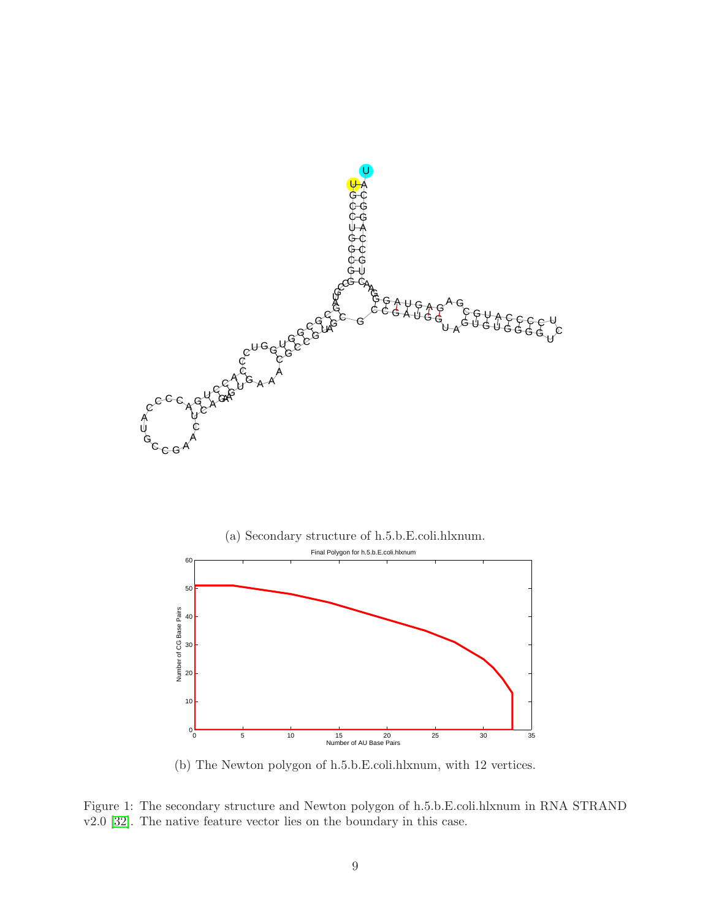



(b) The Newton polygon of h.5.b.E.coli.hlxnum, with 12 vertices.

<span id="page-8-0"></span>Figure 1: The secondary structure and Newton polygon of h.5.b.E.coli.hlxnum in RNA STRAND v2.0 [\[32\]](#page-12-13). The native feature vector lies on the boundary in this case.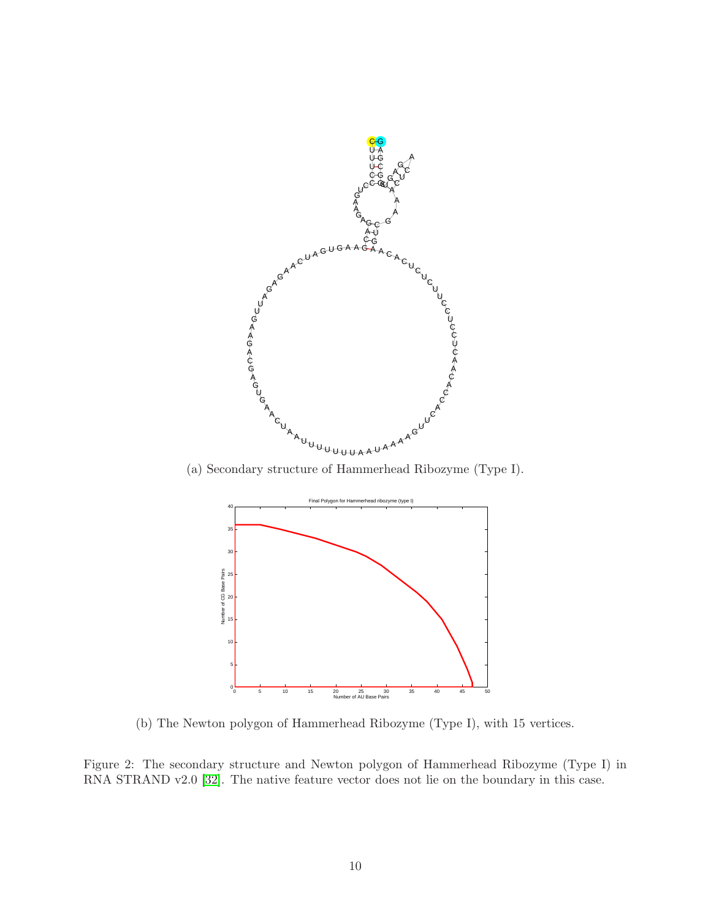

(a) Secondary structure of Hammerhead Ribozyme (Type I).



<span id="page-9-0"></span>(b) The Newton polygon of Hammerhead Ribozyme (Type I), with 15 vertices.

Figure 2: The secondary structure and Newton polygon of Hammerhead Ribozyme (Type I) in RNA STRAND v2.0 [\[32\]](#page-12-13). The native feature vector does not lie on the boundary in this case.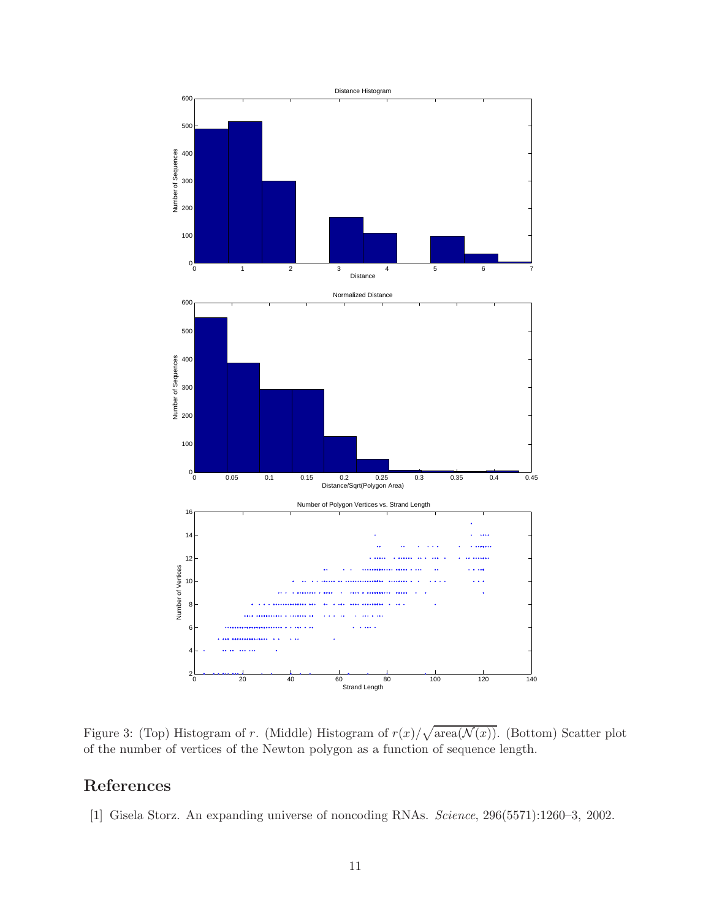

<span id="page-10-1"></span>Figure 3: (Top) Histogram of r. (Middle) Histogram of  $r(x)/\sqrt{\text{area}(\mathcal{N}(x))}$ . (Bottom) Scatter plot of the number of vertices of the Newton polygon as a function of sequence length.

# <span id="page-10-0"></span>References

[1] Gisela Storz. An expanding universe of noncoding RNAs. Science, 296(5571):1260–3, 2002.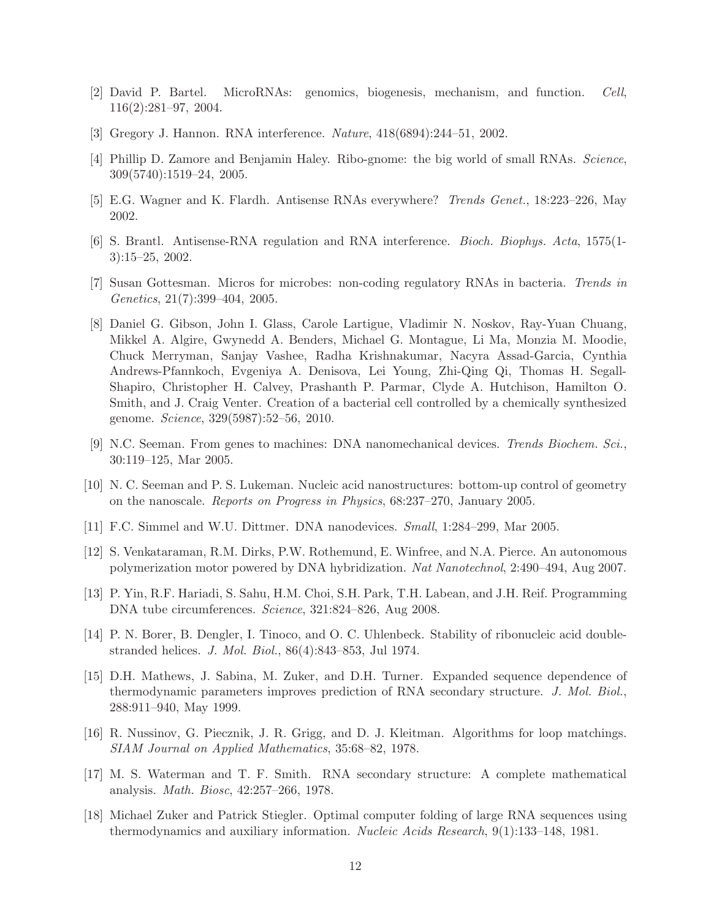- <span id="page-11-1"></span><span id="page-11-0"></span>[2] David P. Bartel. MicroRNAs: genomics, biogenesis, mechanism, and function. Cell, 116(2):281–97, 2004.
- <span id="page-11-2"></span>[3] Gregory J. Hannon. RNA interference. Nature, 418(6894):244–51, 2002.
- <span id="page-11-3"></span>[4] Phillip D. Zamore and Benjamin Haley. Ribo-gnome: the big world of small RNAs. Science, 309(5740):1519–24, 2005.
- <span id="page-11-4"></span>[5] E.G. Wagner and K. Flardh. Antisense RNAs everywhere? Trends Genet., 18:223–226, May 2002.
- <span id="page-11-5"></span>[6] S. Brantl. Antisense-RNA regulation and RNA interference. Bioch. Biophys. Acta, 1575(1- 3):15–25, 2002.
- <span id="page-11-6"></span>[7] Susan Gottesman. Micros for microbes: non-coding regulatory RNAs in bacteria. Trends in Genetics, 21(7):399–404, 2005.
- [8] Daniel G. Gibson, John I. Glass, Carole Lartigue, Vladimir N. Noskov, Ray-Yuan Chuang, Mikkel A. Algire, Gwynedd A. Benders, Michael G. Montague, Li Ma, Monzia M. Moodie, Chuck Merryman, Sanjay Vashee, Radha Krishnakumar, Nacyra Assad-Garcia, Cynthia Andrews-Pfannkoch, Evgeniya A. Denisova, Lei Young, Zhi-Qing Qi, Thomas H. Segall-Shapiro, Christopher H. Calvey, Prashanth P. Parmar, Clyde A. Hutchison, Hamilton O. Smith, and J. Craig Venter. Creation of a bacterial cell controlled by a chemically synthesized genome. Science, 329(5987):52–56, 2010.
- <span id="page-11-7"></span>[9] N.C. Seeman. From genes to machines: DNA nanomechanical devices. Trends Biochem. Sci., 30:119–125, Mar 2005.
- <span id="page-11-8"></span>[10] N. C. Seeman and P. S. Lukeman. Nucleic acid nanostructures: bottom-up control of geometry on the nanoscale. Reports on Progress in Physics, 68:237–270, January 2005.
- <span id="page-11-10"></span><span id="page-11-9"></span>[11] F.C. Simmel and W.U. Dittmer. DNA nanodevices. Small, 1:284–299, Mar 2005.
- <span id="page-11-11"></span>[12] S. Venkataraman, R.M. Dirks, P.W. Rothemund, E. Winfree, and N.A. Pierce. An autonomous polymerization motor powered by DNA hybridization. Nat Nanotechnol, 2:490–494, Aug 2007.
- <span id="page-11-12"></span>[13] P. Yin, R.F. Hariadi, S. Sahu, H.M. Choi, S.H. Park, T.H. Labean, and J.H. Reif. Programming DNA tube circumferences. Science, 321:824–826, Aug 2008.
- <span id="page-11-13"></span>[14] P. N. Borer, B. Dengler, I. Tinoco, and O. C. Uhlenbeck. Stability of ribonucleic acid doublestranded helices. J. Mol. Biol., 86(4):843–853, Jul 1974.
- [15] D.H. Mathews, J. Sabina, M. Zuker, and D.H. Turner. Expanded sequence dependence of thermodynamic parameters improves prediction of RNA secondary structure. J. Mol. Biol., 288:911–940, May 1999.
- <span id="page-11-14"></span>[16] R. Nussinov, G. Piecznik, J. R. Grigg, and D. J. Kleitman. Algorithms for loop matchings. SIAM Journal on Applied Mathematics, 35:68–82, 1978.
- <span id="page-11-15"></span>[17] M. S. Waterman and T. F. Smith. RNA secondary structure: A complete mathematical analysis. Math. Biosc, 42:257–266, 1978.
- <span id="page-11-16"></span>[18] Michael Zuker and Patrick Stiegler. Optimal computer folding of large RNA sequences using thermodynamics and auxiliary information. Nucleic Acids Research, 9(1):133–148, 1981.